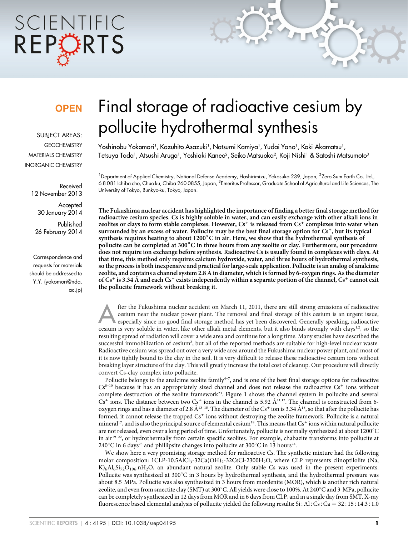# SCIENTIFIC REPORTS

### **OPEN**

SUBJECT AREAS: **GEOCHEMISTRY** MATERIALS CHEMISTRY INORGANIC CHEMISTRY

> Received 12 November 2013

> > Accepted 30 January 2014

Published 26 February 2014

Correspondence and requests for materials should be addressed to Y.Y. (yokomori@nda. ac.jp)

## Final storage of radioactive cesium by pollucite hydrothermal synthesis

Yoshinobu Yokomori<sup>1</sup>, Kazuhito Asazuki<sup>1</sup>, Natsumi Kamiya<sup>1</sup>, Yudai Yano<sup>1</sup>, Koki Akamatsu<sup>1</sup>, Tetsuya Toda<sup>1</sup>, Atsushi Aruga<sup>1</sup>, Yoshiaki Kaneo<sup>2</sup>, Seiko Matsuoka<sup>2</sup>, Koji Nishi<sup>1</sup> & Satoshi Matsumoto<sup>3</sup>

<sup>1</sup> Department of Applied Chemistry, National Defense Academy, Hashirimizu, Yokosuka 239, Japan, <sup>2</sup>Zero Sum Earth Co. Ltd., 6-8-081 Ichiba-cho, Chuo-ku, Chiba 260-0855, Japan, <sup>3</sup>Emeritus Professor, Graduate School of Agricultural and Life Sciences, The University of Tokyo, Bunkyo-ku, Tokyo, Japan.

The Fukushima nuclear accident has highlighted the importance of finding a better final storage method for radioactive cesium species. Cs is highly soluble in water, and can easily exchange with other alkali ions in zeolites or clays to form stable complexes. However,  $Cs^+$  is released from  $Cs^+$  complexes into water when surrounded by an excess of water. Pollucite may be the best final storage option for  $Cs<sup>+</sup>$ , but its typical synthesis requires heating to about  $1200^{\circ}$ C in air. Here, we show that the hydrothermal synthesis of pollucite can be completed at 300°C in three hours from any zeolite or clay. Furthermore, our procedure does not require ion exchange before synthesis. Radioactive Cs is usually found in complexes with clays. At that time, this method only requires calcium hydroxide, water, and three hours of hydrothermal synthesis, so the process is both inexpensive and practical for large-scale application. Pollucite is an analog of analcime zeolite, and contains a channel system 2.8 A in diameter, which is formed by 6-oxygen rings. As the diameter of  $Cs^+$  is 3.34 Å and each  $Cs^+$  exists independently within a separate portion of the channel,  $Cs^+$  cannot exit the pollucite framework without breaking it.

fter the Fukushima nuclear accident on March 11, 2011, there are still strong emissions of radioactive<br>cesium near the nuclear power plant. The removal and final storage of this cesium is an urgent issue,<br>especially since cesium near the nuclear power plant. The removal and final storage of this cesium is an urgent issue, especially since no good final storage method has yet been discovered. Generally speaking, radioactive cesium is very soluble in water, like other alkali metal elements, but it also binds strongly with clays<sup>1,2</sup>, so the resulting spread of radiation will cover a wide area and continue for a long time. Many studies have described the successful immobilization of cesium<sup>3</sup>, but all of the reported methods are suitable for high-level nuclear waste. Radioactive cesium was spread out over a very wide area around the Fukushima nuclear power plant, and most of it is now tightly bound to the clay in the soil. It is very difficult to release these radioactive cesium ions without breaking layer structure of the clay. This will greatly increase the total cost of cleanup. Our procedure will directly convert Cs-clay complex into pollucite.

Pollucite belongs to the analcime zeolite family<sup>4–7</sup>, and is one of the best final storage options for radioactive  $Cs<sup>8-10</sup>$  because it has an appropriately sized channel and does not release the radioactive  $Cs<sup>+</sup>$  ions without complete destruction of the zeolite framework<sup>23</sup>. Figure 1 shows the channel system in pollucite and several  $Cs<sup>+</sup>$  ions. The distance between two  $Cs<sup>+</sup>$  ions in the channel is 5.92  $\AA^{11,12}$ . The channel is constructed from 6oxygen rings and has a diameter of 2.8  $\AA^{13-15}$ . The diameter of the Cs<sup>+</sup> ion is 3.34  $\AA^{16}$ , so that after the pollucite has formed, it cannot release the trapped  $Cs<sup>+</sup>$  ions without destroying the zeolite framework. Pollucite is a natural mineral<sup>17</sup>, and is also the principal source of elemental cesium<sup>18</sup>. This means that Cs<sup>+</sup> ions within natural pollucite are not released, even over a long period of time. Unfortunately, pollucite is normally synthesized at about 1200°C in air<sup>19–22</sup>, or hydrothermally from certain specific zeolites. For example, chabazite transforms into pollucite at  $240^{\circ}$ C in 6 days<sup>23</sup> and phillipsite changes into pollucite at 300°C in 13 hours<sup>24</sup>.

We show here a very promising storage method for radioactive Cs. The synthetic mixture had the following molar composition: 1CLP-10.5AlCl<sub>3</sub>-32Ca(OH)<sub>2</sub>-32CsCl-2300H<sub>2</sub>O, where CLP represents clinoptilolite (Na,  $K$ <sub>6</sub>Al<sub>6</sub>Si<sub>72</sub>O<sub>196</sub>.nH<sub>2</sub>O, an abundant natural zeolite. Only stable Cs was used in the present experiments. Pollucite was synthesized at  $300^{\circ}$ C in 3 hours by hydrothermal synthesis, and the hydrothermal pressure was about 8.5 MPa. Pollucite was also synthesized in 3 hours from mordenite (MOR), which is another rich natural zeolite, and even from smectite clay (SMT) at 300°C. All yields were close to 100%. At 240°C and 3 MPa, pollucite can be completely synthesized in 12 days from MOR and in 6 days from CLP, and in a single day from SMT. X-ray fluorescence based elemental analysis of pollucite yielded the following results: Si: Al: Cs: Ca = 32: 15: 14.3:1.0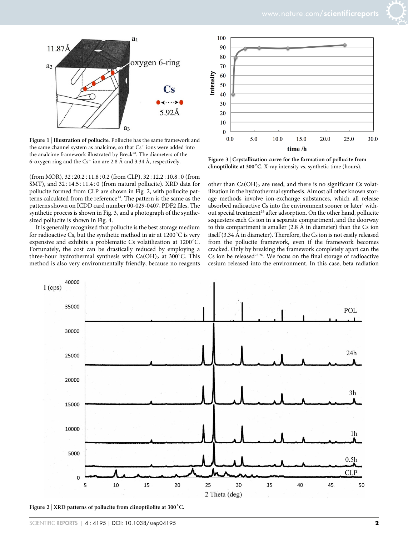

Figure 1 | Illustration of pollucite. Pollucite has the same framework and the same channel system as analcime, so that  $Cs<sup>+</sup>$  ions were added into the analcime framework illustrated by Breck<sup>28</sup>. The diameters of the 6-oxygen ring and the  $Cs^+$  ion are 2.8 Å and 3.34 Å, respectively.

(from MOR),  $32:20.2:11.8:0.2$  (from CLP),  $32:12.2:10.8:0$  (from SMT), and 32:14.5:11.4:0 (from natural pollucite). XRD data for pollucite formed from CLP are shown in Fig. 2, with pollucite patterns calculated from the reference<sup>13</sup>. The pattern is the same as the patterns shown on ICDD card number 00-029-0407, PDF2 files. The synthetic process is shown in Fig. 3, and a photograph of the synthesized pollucite is shown in Fig. 4.

It is generally recognized that pollucite is the best storage medium for radioactive Cs, but the synthetic method in air at  $1200^{\circ}$ C is very expensive and exhibits a problematic Cs volatilization at  $1200^{\circ}$ C. Fortunately, the cost can be drastically reduced by employing a three-hour hydrothermal synthesis with  $Ca(OH)_2$  at 300°C. This method is also very environmentally friendly, because no reagents



Figure 3 <sup>|</sup> Crystallization curve for the formation of pollucite from clinoptilolite at 300°C. X-ray intensity vs. synthetic time (hours).

other than  $Ca(OH)_2$  are used, and there is no significant Cs volatilization in the hydrothermal synthesis. Almost all other known storage methods involve ion-exchange substances, which all release absorbed radioactive Cs into the environment sooner or later<sup>1</sup> without special treatment<sup>25</sup> after adsorption. On the other hand, pollucite sequesters each Cs ion in a separate compartment, and the doorway to this compartment is smaller  $(2.8 \text{ Å}$  in diameter) than the Cs ion itself (3.34 Å in diameter). Therefore, the Cs ion is not easily released from the pollucite framework, even if the framework becomes cracked. Only by breaking the framework completely apart can the Cs ion be released<sup>23,26</sup>. We focus on the final storage of radioactive cesium released into the environment. In this case, beta radiation



Figure 2 | XRD patterns of pollucite from clinoptilolite at  $300^{\circ}$ C.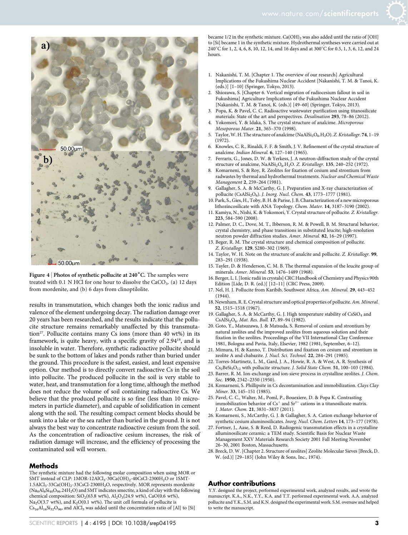

Figure 4 | Photos of synthetic pollucite at  $240^{\circ}$ C. The samples were treated with 0.1 N HCl for one hour to dissolve the  $CaCO<sub>3</sub>$ . (a) 12 days from mordenite, and (b) 6 days from clinoptilolite.

results in transmutation, which changes both the ionic radius and valence of the element undergoing decay. The radiation damage over 20 years has been researched, and the results indicate that the pollucite structure remains remarkably unaffected by this transmutation<sup>27</sup>. Pollucite contains many Cs ions (more than 40 wt%) in its framework, is quite heavy, with a specific gravity of 2.94<sup>18</sup>, and is insoluble in water. Therefore, synthetic radioactive pollucite should be sunk to the bottom of lakes and ponds rather than buried under the ground. This procedure is the safest, easiest, and least expensive option. Our method is to directly convert radioactive Cs in the soil into pollucite. The produced pollucite in the soil is very stable to water, heat, and transmutation for a long time, although the method does not reduce the volume of soil containing radioactive Cs. We believe that the produced pollucite is so fine (less than 10 micrometers in particle diameter), and capable of solidification in cement along with the soil. The resulting compact cement blocks should be sunk into a lake or the sea rather than buried in the ground. It is not always the best way to concentrate radioactive cesium from the soil. As the concentration of radioactive cesium increases, the risk of radiation damage will increase, and the efficiency of processing the contaminated soil will worsen.

#### Methods

The synthetic mixture had the following molar composition when using MOR or SMT instead of CLP: 1MOR-12AlCl<sub>3</sub>-30Ca(OH)<sub>2</sub>-40CsCl-2300H<sub>2</sub>O or 1SMT-1.5AlCl<sub>3</sub>-33Ca(OH)<sub>2</sub>-33CsCl-2300H<sub>2</sub>O, respectively. MOR represents mordenite  $(Na_8Al_8Si_{40}O_{96}.24H_2O)$  and SMT indicates smectite, a kind of clay with the following chemical composition: SiO<sub>2</sub>(63.8 wt%), Al<sub>2</sub>O<sub>3</sub>(24.9 wt%), CaO(0.6 wt%),  $Na<sub>2</sub>O(3.7 wt%)$ , and  $K<sub>2</sub>O(0.1 wt%)$ . The unit cell formula of pollucite is  $Cs<sub>16</sub>A<sub>16</sub>Si<sub>32</sub>O<sub>96</sub>$ , and AlCl<sub>3</sub> was added until the concentration ratio of [Al] to [Si]

became  $1/2$  in the synthetic mixture.  $Ca(OH)_2$  was also added until the ratio of [OH] to [Si] became 1 in the synthetic mixture. Hydrothermal syntheses were carried out at 240°C for 1, 2, 4, 6, 8, 10, 12, 14, and 16 days and at 300°C for 0.5, 1, 3, 6, 12, and 24 hours.

- 1. Nakanishi, T. M. [Chapter 1. The overview of our research] Agricultural Implications of the Fukushima Nuclear Accident [Nakanishi, T. M. & Tanoi, K. (eds.)] [1–10] (Springer, Tokyo, 2013).
- 2. Shiozawa, S. [Chapter 6. Vertical migration of radiocesium fallout in soil in Fukushima] Agriculture Implications of the Fukushima Nuclear Accident [Nakanishi, T. M. & Tanoi, K. (eds.)] [49–60] (Springer, Tokyo, 2013).
- 3. Popa, K. & Pavel, C. C. Radioactive wastewater purification using titanosilicate materials: State of the art and perspectives. Desalination 293, 78–86 (2012).
- Yokomori, Y. & Idaka, S. The crystal structure of analcime. Microporous Mesoporous Mater. 21, 365–370 (1998).
- 5. Taylor, W. H. The structure of analcime (NaAl $Si<sub>2</sub>O<sub>6</sub>$ .H<sub>2</sub>O). Z. Kristallogr. 74, 1-19  $(1972)$
- 6. Knowles, C. R., Rinaldi, F. F. & Smith, J. V. Refinement of the crystal structure of analcime. Indian Mineral. 6, 127–140 (1965).
- Ferraris, G., Jones, D. W. & Yerkess, J. A neutron-diffraction study of the crystal structure of analcime,  $\text{NaAlSi}_2\text{O}_6\text{,H}_2\text{O}$ . Z. Kristallogr. 135, 240-252 (1972).
- 8. Komarneni, S. & Roy, R. Zeolites for fixation of cesium and strontium from radwastes by thermal and hydrothermal treatments. Nuclear and Chemical Waste Management 2, 259–264 (1981).
- Gallagher, S. A. & McCarthy, G. J. Preparation and X-ray characterization of pollucite (CsAlSi<sub>2</sub>O<sub>6</sub>). J. Inorg. Nucl. Chem. 43, 1773-1777 (1981).
- 10. Park, S., Gies, H., Toby, B. H. & Parise, J. B. Characterization of a new microporous lithozincosilicate with ANA Topology. Chem. Mater. 14, 3187–3190 (2002).
- 11. Kamiya, N., Nishi, K. & Yokomori, Y. Crystal structure of pollucite. Z. Kristallogr. 223, 584–590 (2008).
- 12. Palmer, D. C., Dove, M. T., Ibberson, R. M. & Powell, B. M. Structural behavior, crystal chemistry, and phase transitions in substituted leucite; high-resolution neutron powder diffraction studies. Amer. Mineral. 82, 16–29 (1997).
- 13. Beger, R. M. The crystal structure and chemical composition of pollucite. Z. Kristallogr. 129, S280–302 (1969).
- 14. Taylor, W. H. Note on the structure of analcite and pollucite. Z. Kristallogr. 99, 283–291 (1938).
- 15. Tayler, D. & Henderson, C. M. B. The thermal expansion of the leucite group of minerals. Amer. Mineral. 53, 1476–1489 (1968).
- 16. Berger, L. I. [Ionic radii in crystals] CRC Handbook of Chemistry and Physics 90th Edition [Lide, D. R. (ed.)] [12–11] (CRC Press, 2009).
- 17. Nel, H. J. Pollucite from Karibib, Southwest Africa. Am. Mineral. 29, 443–452 (1944).
- 18. Newnham, R. E. Crystal structure and optical properties of pollucite. Am. Mineral. 52, 1515–1518 (1967).
- 19. Gallagher, S. A. & McCarthy, G. J. High temperature stability of  $\text{CsSiO}_4$  and CsAlSi<sub>2</sub>O<sub>6</sub>. Mat. Res. Bull. 17, 89-94 (1982).
- 20. Goto, Y., Matsuzawa, J. & Matsuda, S. Removal of cesium and strontium by natural zeolites and the improved zeolites from aqueous solution and their fixation in the zeolites. Proceedings of the VII International Clay Conference 1981, Bologna and Pavia, Italy, Elsevier, 1982 (1981, September, 6–12).
- 21. Mimura, H. & Kanno, T. Distribution and fixation on cesium and strontium in zeolite A and chabazite. J. Nucl. Sci. Technol. 22, 284–291 (1985).
- 22. Torres-Martinetz, L. M., Gard, J. A., Howie, R. A. & West, A. R. Synthesis of  $Cs<sub>2</sub>BeSi<sub>5</sub>O<sub>12</sub>$  with pollucite structure. J. Solid State Chem. 51, 100–103 (1984).
- 23. Barrer, R. M. Ion-exchange and ion-sieve process in crystalline zeolites. J. Chem. Soc. 1950, 2342–2350 (1950).
- 24. Komarneni, S. Phillipsite in Cs decontamination and immobilization. Clays Clay Miner. 33, 145–151 (1985).
- 25. Pavel, C. C., Walter, M., Poml, P., Bouexiere, D. & Popa K. Contrasting immobilization behavior of  $\mathrm{Cs}^+$  and  $\mathrm{Sr}^{2+}$  cations in a titanosilicate matrix. J. Mater. Chem. 21, 3831–3837 (2011).
- 26. Komarneni, S., McCarthy, G. J. & Gallagher, S. A. Cation exchange behavior of synthetic cesium aluminosilicates. Inorg. Nucl. Chem. Letters 14, 173–177 (1978).
- 27. Fortner, J., Aase, S. & Reed, D. Radiogenic transmutation effects in a crystalline alluminosilicate ceramic: a TEM study. Scientific Basis for Nuclear Waste Management XXV Materials Research Society 2001 Fall Meeting November 26–30, 2001 Boston, Massachusetts.
- 28. Breck, D. W. [Chapter 2. Structure of zeolites] Zeolite Molecular Sieves [Breck, D. W. (ed.)] [29–185] (John Wiley & Sons, Inc., 1974).

#### Author contributions

Y.Y. designed the project, performed experimental work, analyzed results, and wrote the manuscript. K.A., N.K., Y.Y., K.A. and T.T. performed experimental work. A.A. analyzed pollucite and Y.K., S.M. and K.N. designed the experimental work. S.M. oversaw and helped to write the manuscript.